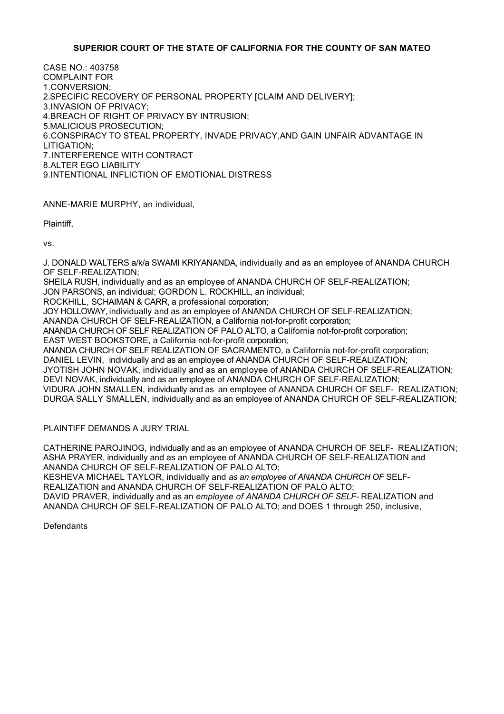# **SUPERIOR COURT OF THE STATE OF CALIFORNIA FOR THE COUNTY OF SAN MATEO**

CASE NO.: 403758 COMPLAINT FOR 1.CONVERSION; 2.SPECIFIC RECOVERY OF PERSONAL PROPERTY [CLAIM AND DELIVERY]; 3.INVASION OF PRIVACY; 4.BREACH OF RIGHT OF PRIVACY BY INTRUSION; 5.MALICIOUS PROSECUTION; 6.CONSPIRACY TO STEAL PROPERTY, INVADE PRIVACY,AND GAIN UNFAIR ADVANTAGE IN LITIGATION; 7.INTERFERENCE WITH CONTRACT 8.ALTER EGO LIABILITY 9.INTENTIONAL INFLICTION OF EMOTIONAL DISTRESS

ANNE-MARIE MURPHY, an individual,

Plaintiff,

vs.

J. DONALD WALTERS a/k/a SWAMI KRIYANANDA, individually and as an employee of ANANDA CHURCH OF SELF-REALIZATION;

SHEILA RUSH, individually and as an employee of ANANDA CHURCH OF SELF-REALIZATION;

JON PARSONS, an individual; GORDON L. ROCKHILL, an individual;

ROCKHILL, SCHAIMAN & CARR, a professional corporation;

JOY HOLLOWAY, individually and as an employee of ANANDA CHURCH OF SELF-REALIZATION;

ANANDA CHURCH OF SELF-REALIZATION, a California not-for-profit corporation;

ANANDA CHURCH OF SELF REALIZATION OF PALO ALTO, a California not-for-profit corporation;

EAST WEST BOOKSTORE, a California not-for-profit corporation;

ANANDA CHURCH OF SELF REALIZATION OF SACRAMENTO, a California not-for-profit corporation;

DANIEL LEVIN, individually and as an employee of ANANDA CHURCH OF SELF-REALIZATION; JYOTISH JOHN NOVAK, individually and as an employee of ANANDA CHURCH OF SELF-REALIZATION; DEVI NOVAK, individually and as an employee of ANANDA CHURCH OF SELF-REALIZATION; VIDURA JOHN SMALLEN, individually and as an employee of ANANDA CHURCH OF SELF- REALIZATION; DURGA SALLY SMALLEN, individually and as an employee of ANANDA CHURCH OF SELF-REALIZATION;

PLAINTIFF DEMANDS A JURY TRIAL

CATHERINE PAROJINOG, individually and as an employee of ANANDA CHURCH OF SELF- REALIZATION; ASHA PRAYER, individually and as an employee of ANANDA CHURCH OF SELF-REALIZATION and ANANDA CHURCH OF SELF-REALIZATION OF PALO ALTO;

KESHEVA MICHAEL TAYLOR, individually and *as an employee of ANANDA CHURCH OF* SELF-REALIZATION and ANANDA CHURCH OF SELF-REALIZATION OF PALO ALTO;

DAVID PRAVER, individually and as an *employee of ANANDA CHURCH OF SELF-* REALIZATION and ANANDA CHURCH OF SELF-REALIZATION OF PALO ALTO; and DOES 1 through 250, inclusive,

**Defendants**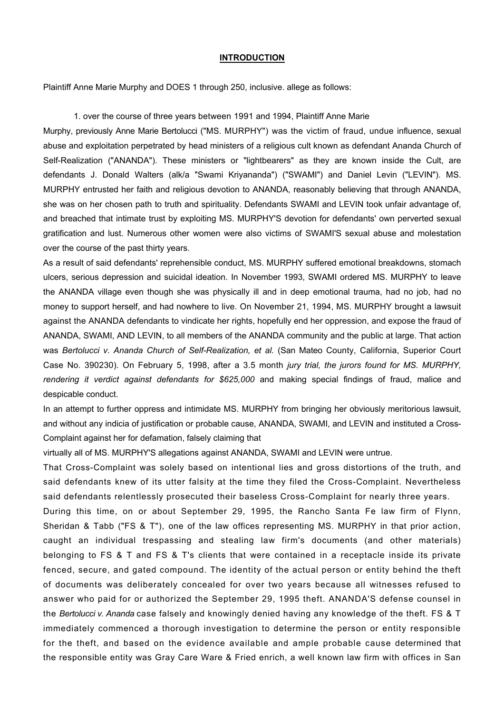### **INTRODUCTION**

Plaintiff Anne Marie Murphy and DOES 1 through 250, inclusive. allege as follows:

#### 1*.* over the course of three years between 1991 and 1994, Plaintiff Anne Marie

Murphy, previously Anne Marie Bertolucci ("MS. MURPHY") was the victim of fraud, undue influence, sexual abuse and exploitation perpetrated by head ministers of a religious cult known as defendant Ananda Church of Self-Realization ("ANANDA"). These ministers or "lightbearers" as they are known inside the Cult, are defendants J. Donald Walters (alk/a "Swami Kriyananda") ("SWAMI") and Daniel Levin ("LEVIN"). MS. MURPHY entrusted her faith and religious devotion to ANANDA, reasonably believing that through ANANDA, she was on her chosen path to truth and spirituality. Defendants SWAMI and LEVIN took unfair advantage of, and breached that intimate trust by exploiting MS. MURPHY'S devotion for defendants' own perverted sexual gratification and lust. Numerous other women were also victims of SWAMI'S sexual abuse and molestation over the course of the past thirty years.

As a result of said defendants' reprehensible conduct, MS. MURPHY suffered emotional breakdowns, stomach ulcers, serious depression and suicidal ideation. In November 1993, SWAMI ordered MS. MURPHY to leave the ANANDA village even though she was physically ill and in deep emotional trauma, had no job, had no money to support herself, and had nowhere to live. On November 21, 1994, MS. MURPHY brought a lawsuit against the ANANDA defendants to vindicate her rights, hopefully end her oppression, and expose the fraud of ANANDA, SWAMI, AND LEVIN, to all members of the ANANDA community and the public at large. That action was *Bertolucci v. Ananda Church of Self-Realization, et al.* (San Mateo County, California, Superior Court Case No. 390230). On February 5, 1998, after a 3.5 month *jury trial, the jurors found for MS. MURPHY,*  rendering it verdict against defendants for \$625,000 and making special findings of fraud, malice and despicable conduct.

In an attempt to further oppress and intimidate MS. MURPHY from bringing her obviously meritorious lawsuit, and without any indicia of justification or probable cause, ANANDA, SWAMI, and LEVIN and instituted a Cross-Complaint against her for defamation, falsely claiming that

virtually all of MS. MURPHY'S allegations against ANANDA, SWAMI and LEVIN were untrue.

That Cross-Complaint was solely based on intentional lies and gross distortions of the truth, and said defendants knew of its utter falsity at the time they filed the Cross-Complaint. Nevertheless said defendants relentlessly prosecuted their baseless Cross-Complaint for nearly three years.

During this time, on or about September 29, 1995, the Rancho Santa Fe law firm of Flynn, Sheridan & Tabb ("FS & T"), one of the law offices representing MS. MURPHY in that prior action, caught an individual trespassing and stealing law firm's documents (and other materials) belonging to FS & T and FS & T's clients that were contained in a receptacle inside its private fenced, secure, and gated compound. The identity of the actual person or entity behind the theft of documents was deliberately concealed for over two years because all witnesses refused to answer who paid for or authorized the September 29, 1995 theft. ANANDA'S defense counsel in the *Bertolucci v. Ananda* case falsely and knowingly denied having any knowledge of the theft. FS & T immediately commenced a thorough investigation to determine the person or entity responsible for the theft, and based on the evidence available and ample probable cause determined that the responsible entity was Gray Care Ware & Fried enrich, a well known law firm with offices in San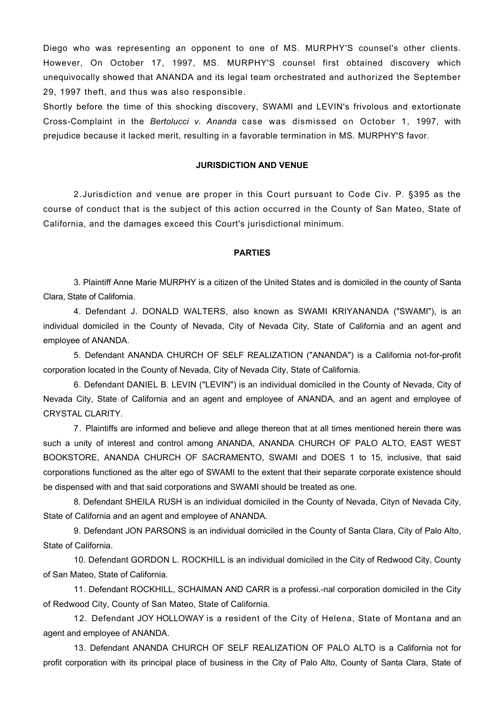Diego who was representing an opponent to one of MS. MURPHY'S counsel's other clients. However, On October 17, 1997, MS. MURPHY'S counsel first obtained discovery which unequivocally showed that ANANDA and its legal team orchestrated and authorized the September 29, 1997 theft, and thus was also responsible.

Shortly before the time of this shocking discovery, SWAMI and LEVIN's frivolous and extortionate Cross-Complaint in the *Bertolucci v. Ananda* case was dismissed on October 1, 1997, with prejudice because it lacked merit, resulting in a favorable termination in MS. MURPHY'S favor.

## **JURISDICTION AND VENUE**

2.Jurisdiction and venue are proper in this Court pursuant to Code Civ. P. §395 as the course of conduct that is the subject of this action occurred in the County of San Mateo, State of California, and the damages exceed this Court's jurisdictional minimum.

#### **PARTIES**

3. Plaintiff Anne Marie MURPHY is a citizen of the United States and is domiciled in the county of Santa Clara, State of California.

4. Defendant J. DONALD WALTERS, also known as SWAMI KRIYANANDA ("SWAMI"), is an individual domiciled in the County of Nevada, City of Nevada City, State of California and an agent and employee of ANANDA.

5. Defendant ANANDA CHURCH OF SELF REALIZATION ("ANANDA") is a California not-for-profit corporation located in the County of Nevada, City of Nevada City, State of California.

6. Defendant DANIEL B. LEVIN ("LEVIN") is an individual domiciled in the County of Nevada, City of Nevada City, State of California and an agent and employee of ANANDA, and an agent and employee of CRYSTAL CLARITY.

7. Plaintiffs are informed and believe and allege thereon that at all times mentioned herein there was such a unity of interest and control among ANANDA, ANANDA CHURCH OF PALO ALTO, EAST WEST BOOKSTORE, ANANDA CHURCH OF SACRAMENTO, SWAMI and DOES 1 to 15, inclusive, that said corporations functioned as the alter ego of SWAMI to the extent that their separate corporate existence should be dispensed with and that said corporations and SWAMI should be treated as one.

8. Defendant SHEILA RUSH is an individual domiciled in the County of Nevada, Cityn of Nevada City, State of California and an agent and employee of ANANDA.

9. Defendant JON PARSONS is an individual domiciled in the County of Santa Clara, City of Palo Alto, State of California.

10. Defendant GORDON L. ROCKHILL is an individual domiciled in the City of Redwood City, County of San Mateo, State of California.

11. Defendant ROCKHILL, SCHAIMAN AND CARR is a professi.-nal corporation domiciled in the City of Redwood City, County of San Mateo, State of California.

12*.* Defendant JOY HOLLOWAY is a resident of the City of Helena, State of Montana and an agent and employee of ANANDA.

13. Defendant ANANDA CHURCH OF SELF REALIZATION OF PALO ALTO is a California not for profit corporation with its principal place of business in the City of Palo Alto, County of Santa Clara, State of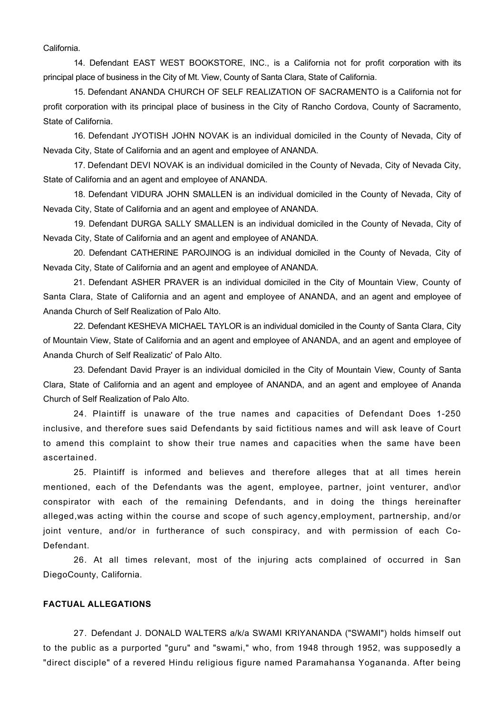California.

14. Defendant EAST WEST BOOKSTORE, INC., is a California not for profit corporation with its principal place of business in the City of Mt. View, County of Santa Clara, State of California.

15. Defendant ANANDA CHURCH OF SELF REALIZATION OF SACRAMENTO is a California not for profit corporation with its principal place of business in the City of Rancho Cordova, County of Sacramento, State of California.

16. Defendant JYOTISH JOHN NOVAK is an individual domiciled in the County of Nevada, City of Nevada City, State of California and an agent and employee of ANANDA.

17. Defendant DEVI NOVAK is an individual domiciled in the County of Nevada, City of Nevada City, State of California and an agent and employee of ANANDA.

18. Defendant VIDURA JOHN SMALLEN is an individual domiciled in the County of Nevada, City of Nevada City, State of California and an agent and employee of ANANDA.

19. Defendant DURGA SALLY SMALLEN is an individual domiciled in the County of Nevada, City of Nevada City, State of California and an agent and employee of ANANDA.

20. Defendant CATHERINE PAROJINOG is an individual domiciled in the County of Nevada, City of Nevada City, State of California and an agent and employee of ANANDA.

21. Defendant ASHER PRAVER is an individual domiciled in the City of Mountain View, County of Santa Clara, State of California and an agent and employee of ANANDA, and an agent and employee of Ananda Church of Self Realization of Palo Alto.

22. Defendant KESHEVA MICHAEL TAYLOR is an individual domiciled in the County of Santa Clara, City of Mountain View, State of California and an agent and employee of ANANDA, and an agent and employee of Ananda Church of Self Realizatic' of Palo Alto.

23. Defendant David Prayer is an individual domiciled in the City of Mountain View, County of Santa Clara, State of California and an agent and employee of ANANDA, and an agent and employee of Ananda Church of Self Realization of Palo Alto.

24. Plaintiff is unaware of the true names and capacities of Defendant Does 1-250 inclusive, and therefore sues said Defendants by said fictitious names and will ask leave of Court to amend this complaint to show their true names and capacities when the same have been ascertained.

25. Plaintiff is informed and believes and therefore alleges that at all times herein mentioned, each of the Defendants was the agent, employee, partner, joint venturer, and\or conspirator with each of the remaining Defendants, and in doing the things hereinafter alleged,was acting within the course and scope of such agency,employment, partnership, and/or joint venture, and/or in furtherance of such conspiracy, and with permission of each Co-Defendant.

26. At all times relevant, most of the injuring acts complained of occurred in San DiegoCounty, California.

# **FACTUAL ALLEGATIONS**

27. Defendant J. DONALD WALTERS a/k/a SWAMI KRIYANANDA ("SWAMI") holds himself out to the public as a purported "guru" and "swami," who, from 1948 through 1952, was supposedly a "direct disciple" of a revered Hindu religious figure named Paramahansa Yogananda. After being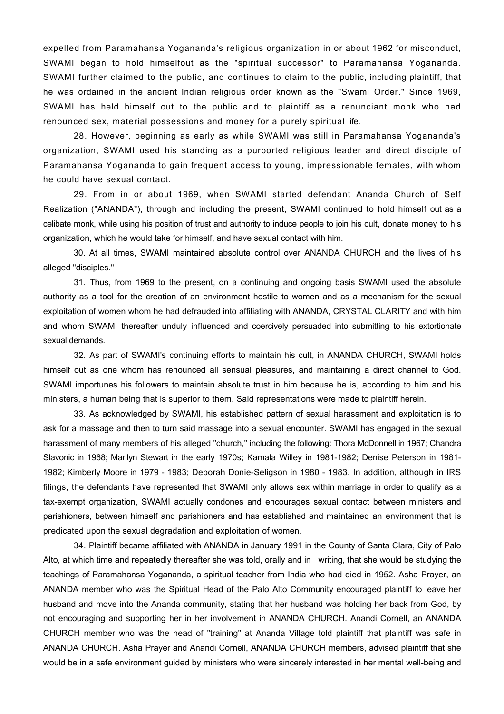expelled from Paramahansa Yogananda's religious organization in or about 1962 for misconduct, SWAMI began to hold himselfout as the "spiritual successor" to Paramahansa Yogananda. SWAMI further claimed to the public, and continues to claim to the public, including plaintiff, that he was ordained in the ancient Indian religious order known as the "Swami Order." Since 1969, SWAMI has held himself out to the public and to plaintiff as a renunciant monk who had renounced sex, material possessions and money for a purely spiritual life.

28. However, beginning as early as while SWAMI was still in Paramahansa Yogananda's organization, SWAMI used his standing as a purported religious leader and direct disciple of Paramahansa Yogananda to gain frequent access to young, impressionable females, with whom he could have sexual contact.

29. From in or about 1969, when SWAMI started defendant Ananda Church of Self Realization ("ANANDA"), through and including the present, SWAMI continued to hold himself out as a celibate monk, while using his position of trust and authority to induce people to join his cult, donate money to his organization, which he would take for himself, and have sexual contact with him.

30. At all times, SWAMI maintained absolute control over ANANDA CHURCH and the lives of his alleged "disciples."

31. Thus, from 1969 to the present, on a continuing and ongoing basis SWAMI used the absolute authority as a tool for the creation of an environment hostile to women and as a mechanism for the sexual exploitation of women whom he had defrauded into affiliating with ANANDA, CRYSTAL CLARITY and with him and whom SWAMI thereafter unduly influenced and coercively persuaded into submitting to his extortionate sexual demands.

32. As part of SWAMI's continuing efforts to maintain his cult, in ANANDA CHURCH, SWAMI holds himself out as one whom has renounced all sensual pleasures, and maintaining a direct channel to God. SWAMI importunes his followers to maintain absolute trust in him because he is, according to him and his ministers, a human being that is superior to them. Said representations were made to plaintiff herein.

33. As acknowledged by SWAMI, his established pattern of sexual harassment and exploitation is to ask for a massage and then to turn said massage into a sexual encounter. SWAMI has engaged in the sexual harassment of many members of his alleged "church," including the following: Thora McDonnell in 1967; Chandra Slavonic in 1968; Marilyn Stewart in the early 1970s; Kamala Willey in 1981-1982; Denise Peterson in 1981- 1982; Kimberly Moore in 1979 - 1983; Deborah Donie-Seligson in 1980 - 1983. In addition, although in IRS filings, the defendants have represented that SWAMI only allows sex within marriage in order to qualify as a tax-exempt organization, SWAMI actually condones and encourages sexual contact between ministers and parishioners, between himself and parishioners and has established and maintained an environment that is predicated upon the sexual degradation and exploitation of women.

34. Plaintiff became affiliated with ANANDA in January 1991 in the County of Santa Clara, City of Palo Alto, at which time and repeatedly thereafter she was told, orally and in writing, that she would be studying the teachings of Paramahansa Yogananda, a spiritual teacher from India who had died in 1952. Asha Prayer, an ANANDA member who was the Spiritual Head of the Palo Alto Community encouraged plaintiff to leave her husband and move into the Ananda community, stating that her husband was holding her back from God, by not encouraging and supporting her in her involvement in ANANDA CHURCH. Anandi Cornell, an ANANDA CHURCH member who was the head of "training" at Ananda Village told plaintiff that plaintiff was safe in ANANDA CHURCH. Asha Prayer and Anandi Cornell, ANANDA CHURCH members, advised plaintiff that she would be in a safe environment guided by ministers who were sincerely interested in her mental well-being and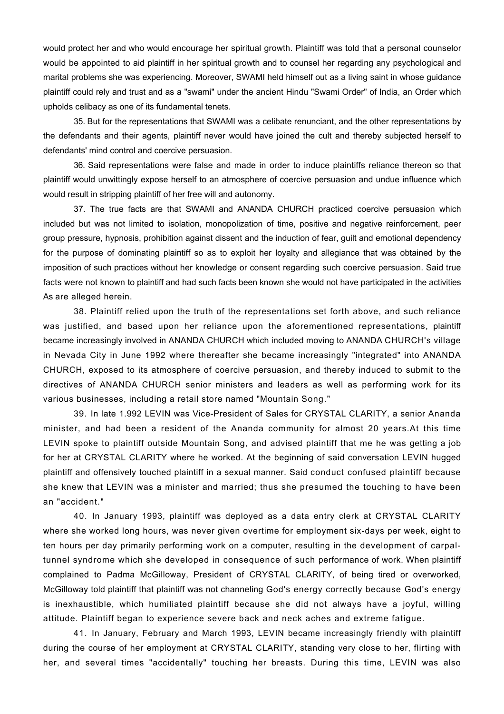would protect her and who would encourage her spiritual growth. Plaintiff was told that a personal counselor would be appointed to aid plaintiff in her spiritual growth and to counsel her regarding any psychological and marital problems she was experiencing. Moreover, SWAMI held himself out as a living saint in whose guidance plaintiff could rely and trust and as a "swami" under the ancient Hindu "Swami Order" of India, an Order which upholds celibacy as one of its fundamental tenets.

35. But for the representations that SWAMI was a celibate renunciant, and the other representations by the defendants and their agents, plaintiff never would have joined the cult and thereby subjected herself to defendants' mind control and coercive persuasion.

36. Said representations were false and made in order to induce plaintiffs reliance thereon so that plaintiff would unwittingly expose herself to an atmosphere of coercive persuasion and undue influence which would result in stripping plaintiff of her free will and autonomy.

37. The true facts are that SWAMI and ANANDA CHURCH practiced coercive persuasion which included but was not limited to isolation, monopolization of time, positive and negative reinforcement, peer group pressure, hypnosis, prohibition against dissent and the induction of fear, guilt and emotional dependency for the purpose of dominating plaintiff so as to exploit her loyalty and allegiance that was obtained by the imposition of such practices without her knowledge or consent regarding such coercive persuasion. Said true facts were not known to plaintiff and had such facts been known she would not have participated in the activities As are alleged herein.

38. Plaintiff relied upon the truth of the representations set forth above, and such reliance was justified, and based upon her reliance upon the aforementioned representations, plaintiff became increasingly involved in ANANDA CHURCH which included moving to ANANDA CHURCH's village in Nevada City in June 1992 where thereafter she became increasingly "integrated" into ANANDA CHURCH, exposed to its atmosphere of coercive persuasion, and thereby induced to submit to the directives of ANANDA CHURCH senior ministers and leaders as well as performing work for its various businesses, including a retail store named "Mountain Song."

39. In late 1.992 LEVIN was Vice-President of Sales for CRYSTAL CLARITY, a senior Ananda minister, and had been a resident of the Ananda community for almost 20 years.At this time LEVIN spoke to plaintiff outside Mountain Song, and advised plaintiff that me he was getting a job for her at CRYSTAL CLARITY where he worked. At the beginning of said conversation LEVIN hugged plaintiff and offensively touched plaintiff in a sexual manner. Said conduct confused plaintiff because she knew that LEVIN was a minister and married; thus she presumed the touching to have been an "accident."

40. In January 1993, plaintiff was deployed as a data entry clerk at CRYSTAL CLARITY where she worked long hours, was never given overtime for employment six-days per week, eight to ten hours per day primarily performing work on a computer, resulting in the development of carpaltunnel syndrome which she developed in consequence of such performance of work. When plaintiff complained to Padma McGilloway, President of CRYSTAL CLARITY, of being tired or overworked, McGilloway told plaintiff that plaintiff was not channeling God's energy correctly because God's energy is inexhaustible, which humiliated plaintiff because she did not always have a joyful, willing attitude. Plaintiff began to experience severe back and neck aches and extreme fatigue.

41. In January, February and March 1993, LEVIN became increasingly friendly with plaintiff during the course of her employment at CRYSTAL CLARITY, standing very close to her, flirting with her, and several times "accidentally" touching her breasts. During this time, LEVIN was also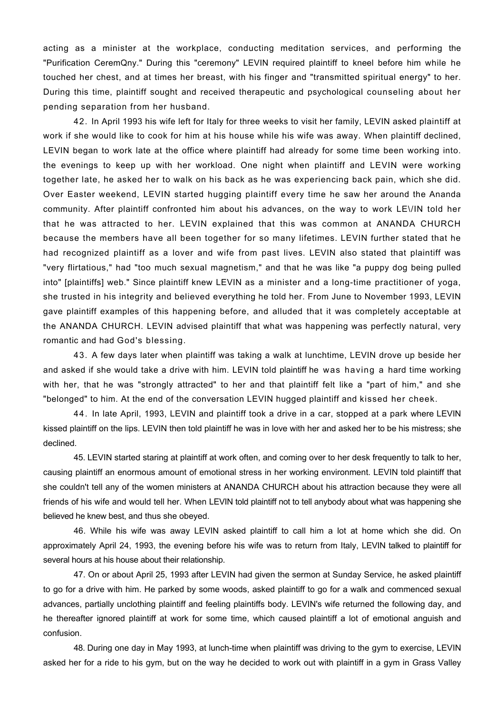acting as a minister at the workplace, conducting meditation services, and performing the "Purification CeremQny." During this "ceremony" LEVIN required plaintiff to kneel before him while he touched her chest, and at times her breast, with his finger and "transmitted spiritual energy" to her. During this time, plaintiff sought and received therapeutic and psychological counseling about her pending separation from her husband.

42. In April 1993 his wife left for Italy for three weeks to visit her family, LEVIN asked plaintiff at work if she would like to cook for him at his house while his wife was away. When plaintiff declined, LEVIN began to work late at the office where plaintiff had already for some time been working into. the evenings to keep up with her workload. One night when plaintiff and LEVIN were working together late, he asked her to walk on his back as he was experiencing back pain, which she did. Over Easter weekend, LEVIN started hugging plaintiff every time he saw her around the Ananda community. After plaintiff confronted him about his advances, on the way to work LE\/IN told her that he was attracted to her. LEVIN explained that this was common at ANANDA CHURCH because the members have all been together for so many lifetimes. LEVIN further stated that he had recognized plaintiff as a lover and wife from past lives. LEVIN also stated that plaintiff was "very flirtatious," had "too much sexual magnetism," and that he was like "a puppy dog being pulled into" [plaintiffs] web." Since plaintiff knew LEVIN as a minister and a long-time practitioner of yoga, she trusted in his integrity and believed everything he told her. From June to November 1993, LEVIN gave plaintiff examples of this happening before, and alluded that it was completely acceptable at the ANANDA CHURCH. LEVIN advised plaintiff that what was happening was perfectly natural, very romantic and had God's blessing.

43. A few days later when plaintiff was taking a walk at lunchtime, LEVIN drove up beside her and asked if she would take a drive with him. LEVIN told plaintiff he was having a hard time working with her, that he was "strongly attracted" to her and that plaintiff felt like a "part of him," and she "belonged" to him. At the end of the conversation LEVIN hugged plaintiff and kissed her cheek.

44. In late April, 1993, LEVIN and plaintiff took a drive in a car, stopped at a park where LEVIN kissed plaintiff on the lips. LEVIN then told plaintiff he was in love with her and asked her to be his mistress; she declined.

45. LEVIN started staring at plaintiff at work often, and coming over to her desk frequently to talk to her, causing plaintiff an enormous amount of emotional stress in her working environment. LEVIN told plaintiff that she couldn't tell any of the women ministers at ANANDA CHURCH about his attraction because they were all friends of his wife and would tell her. When LEVIN told plaintiff not to tell anybody about what was happening she believed he knew best, and thus she obeyed.

46. While his wife was away LEVIN asked plaintiff to call him a lot at home which she did. On approximately April 24, 1993, the evening before his wife was to return from Italy, LEVIN talked to plaintiff for several hours at his house about their relationship.

47. On or about April 25, 1993 after LEVIN had given the sermon at Sunday Service, he asked plaintiff to go for a drive with him. He parked by some woods, asked plaintiff to go for a walk and commenced sexual advances, partially unclothing plaintiff and feeling plaintiffs body. LEVIN's wife returned the following day, and he thereafter ignored plaintiff at work for some time, which caused plaintiff a lot of emotional anguish and confusion.

48. During one day in May 1993, at lunch-time when plaintiff was driving to the gym to exercise, LEVIN asked her for a ride to his gym, but on the way he decided to work out with plaintiff in a gym in Grass Valley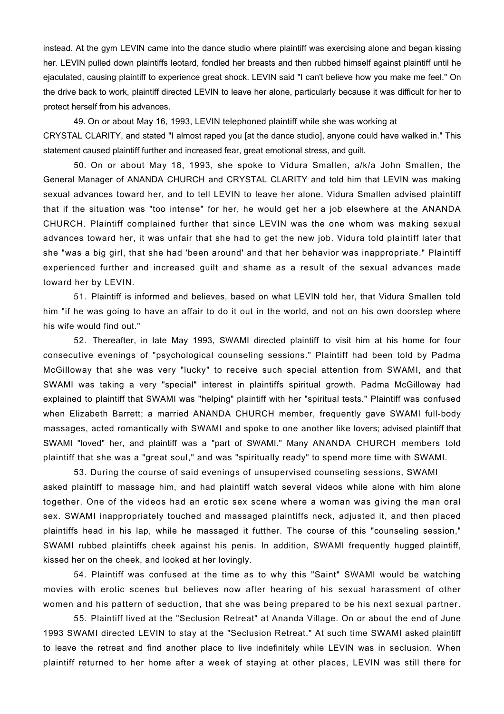instead. At the gym LEVIN came into the dance studio where plaintiff was exercising alone and began kissing her. LEVIN pulled down plaintiffs leotard, fondled her breasts and then rubbed himself against plaintiff until he ejaculated, causing plaintiff to experience great shock. LEVIN said "I can't believe how you make me feel." On the drive back to work, plaintiff directed LEVIN to leave her alone, particularly because it was difficult for her to protect herself from his advances.

49. On or about May 16, 1993, LEVIN telephoned plaintiff while she was working at CRYSTAL CLARITY, and stated "I almost raped you [at the dance studio], anyone could have walked in." This statement caused plaintiff further and increased fear, great emotional stress, and quilt.

50. On or about May 18, 1993, she spoke to Vidura Smallen, a/k/a John Smallen, the General Manager of ANANDA CHURCH and CRYSTAL CLARITY and told him that LEVIN was making sexual advances toward her, and to tell LEVIN to leave her alone. Vidura Smallen advised plaintiff that if the situation was "too intense" for her, he would get her a job elsewhere at the ANANDA CHURCH. Plaintiff complained further that since LEVIN was the one whom was making sexual advances toward her, it was unfair that she had to get the new job. Vidura told plaintiff later that she "was a big girl, that she had 'been around' and that her behavior was inappropriate." Plaintiff experienced further and increased guilt and shame as a result of the sexual advances made toward her by LEVIN.

51. Plaintiff is informed and believes, based on what LEVIN told her, that Vidura Smallen told him "if he was going to have an affair to do it out in the world, and not on his own doorstep where his wife would find out."

52. Thereafter, in late May 1993, SWAMI directed plaintiff to visit him at his home for four consecutive evenings of "psychological counseling sessions." Plaintiff had been told by Padma McGilloway that she was very "lucky" to receive such special attention from SWAMI, and that SWAMI was taking a very "special" interest in plaintiffs spiritual growth. Padma McGilloway had explained to plaintiff that SWAMI was "helping" plaintiff with her "spiritual tests." Plaintiff was confused when Elizabeth Barrett; a married ANANDA CHURCH member, frequently gave SWAMI full-body massages, acted romantically with SWAMI and spoke to one another like lovers; advised plaintiff that SWAMI "loved" her, and plaintiff was a "part of SWAMI." Many ANANDA CHURCH members told plaintiff that she was a "great soul," and was "spiritually ready" to spend more time with SWAMI.

53. During the course of said evenings of unsupervised counseling sessions, SWAMI asked plaintiff to massage him, and had plaintiff watch several videos while alone with him alone together. One of the videos had an erotic sex scene where a woman was giving the man oral sex. SWAMI inappropriately touched and massaged plaintiffs neck, adjusted it, and then placed plaintiffs head in his lap, while he massaged it futther. The course of this "counseling session," SWAMI rubbed plaintiffs cheek against his penis. In addition, SWAMI frequently hugged plaintiff, kissed her on the cheek, and looked at her lovingly.

54. Plaintiff was confused at the time as to why this "Saint" SWAMI would be watching movies with erotic scenes but believes now after hearing of his sexual harassment of other women and his pattern of seduction, that she was being prepared to be his next sexual partner.

55. Plaintiff lived at the "Seclusion Retreat" at Ananda Village. On or about the end of June 1993 SWAMI directed LEVIN to stay at the "Seclusion Retreat." At such time SWAMI asked plaintiff to leave the retreat and find another place to live indefinitely while LEVIN was in seclusion. When plaintiff returned to her home after a week of staying at other places, LEVIN was still there for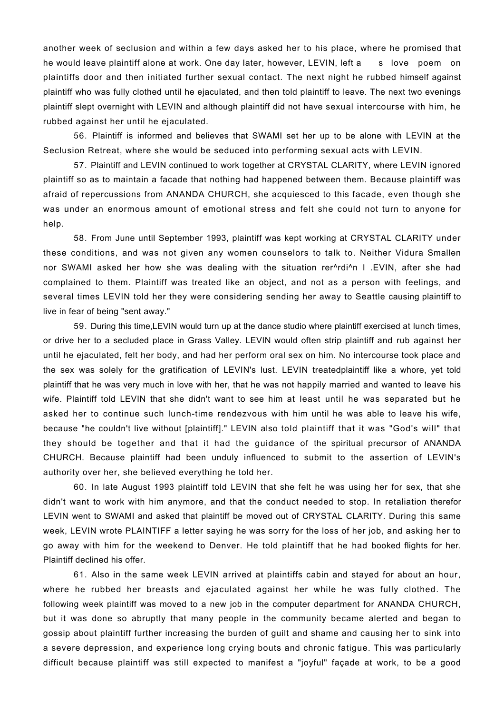another week of seclusion and within a few days asked her to his place, where he promised that he would leave plaintiff alone at work. One day later, however, LEVIN, left a s love poem on plaintiffs door and then initiated further sexual contact. The next night he rubbed himself against plaintiff who was fully clothed until he ejaculated, and then told plaintiff to leave. The next two evenings plaintiff slept overnight with LEVIN and although plaintiff did not have sexual intercourse with him, he rubbed against her until he ejaculated.

56. Plaintiff is informed and believes that SWAMI set her up to be alone with LEVIN at the Seclusion Retreat, where she would be seduced into performing sexual acts with LEVIN.

57. Plaintiff and LEVIN continued to work together at CRYSTAL CLARITY, where LEVIN ignored plaintiff so as to maintain a facade that nothing had happened between them. Because plaintiff was afraid of repercussions from ANANDA CHURCH, she acquiesced to this facade, even though she was under an enormous amount of emotional stress and felt she could not turn to anyone for help.

58. From June until September 1993, plaintiff was kept working at CRYSTAL CLARITY under these conditions, and was not given any women counselors to talk to. Neither Vidura Smallen nor SWAMI asked her how she was dealing with the situation rer^rdi^n I .EVIN, after she had complained to them. Plaintiff was treated like an object, and not as a person with feelings, and several times LEVIN told her they were considering sending her away to Seattle causing plaintiff to live in fear of being "sent away."

59. During this time,LEVIN would turn up at the dance studio where plaintiff exercised at lunch times, or drive her to a secluded place in Grass Valley. LEVIN would often strip plaintiff and rub against her until he ejaculated, felt her body, and had her perform oral sex on him. No intercourse took place and the sex was solely for the gratification of LEVIN's lust. LEVIN treatedplaintiff like a whore, yet told plaintiff that he was very much in love with her, that he was not happily married and wanted to leave his wife. Plaintiff told LEVIN that she didn't want to see him at least until he was separated but he asked her to continue such lunch-time rendezvous with him until he was able to leave his wife, because "he couldn't live without [plaintiff]." LEVIN also told plaintiff that it was "God's will" that they should be together and that it had the guidance of the spiritual precursor of ANANDA CHURCH. Because plaintiff had been unduly influenced to submit to the assertion of LEVIN's authority over her, she believed everything he told her.

60. In late August 1993 plaintiff told LEVIN that she felt he was using her for sex, that she didn't want to work with him anymore, and that the conduct needed to stop. In retaliation therefor LEVIN went to SWAMI and asked that plaintiff be moved out of CRYSTAL CLARITY. During this same week, LEVIN wrote PLAINTIFF a letter saying he was sorry for the loss of her job, and asking her to go away with him for the weekend to Denver. He told plaintiff that he had booked flights for her. Plaintiff declined his offer.

61. Also in the same week LEVIN arrived at plaintiffs cabin and stayed for about an hour, where he rubbed her breasts and ejaculated against her while he was fully clothed. The following week plaintiff was moved to a new job in the computer department for ANANDA CHURCH, but it was done so abruptly that many people in the community became alerted and began to gossip about plaintiff further increasing the burden of guilt and shame and causing her to sink into a severe depression, and experience long crying bouts and chronic fatigue. This was particularly difficult because plaintiff was still expected to manifest a "joyful" façade at work, to be a good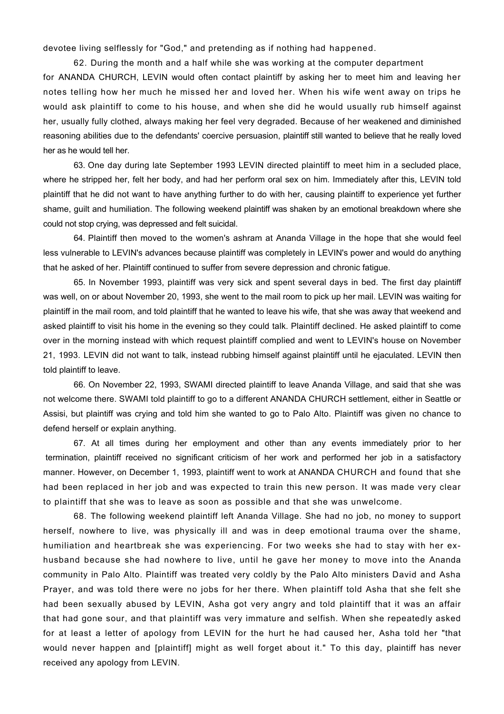devotee living selflessly for "God," and pretending as if nothing had happened.

62. During the month and a half while she was working at the computer department for ANANDA CHURCH, LEVIN would often contact plaintiff by asking her to meet him and leaving her notes telling how her much he missed her and loved her. When his wife went away on trips he would ask plaintiff to come to his house, and when she did he would usually rub himself against her, usually fully clothed, always making her feel very degraded. Because of her weakened and diminished reasoning abilities due to the defendants' coercive persuasion, plaintiff still wanted to believe that he really loved her as he would tell her.

63. One day during late September 1993 LEVIN directed plaintiff to meet him in a secluded place, where he stripped her, felt her body, and had her perform oral sex on him. Immediately after this, LEVIN told plaintiff that he did not want to have anything further to do with her, causing plaintiff to experience yet further shame, guilt and humiliation. The following weekend plaintiff was shaken by an emotional breakdown where she could not stop crying, was depressed and felt suicidal.

64. Plaintiff then moved to the women's ashram at Ananda Village in the hope that she would feel less vulnerable to LEVIN's advances because plaintiff was completely in LEVIN's power and would do anything that he asked of her. Plaintiff continued to suffer from severe depression and chronic fatigue.

65. In November 1993, plaintiff was very sick and spent several days in bed. The first day plaintiff was well, on or about November 20, 1993, she went to the mail room to pick up her mail. LEVIN was waiting for plaintiff in the mail room, and told plaintiff that he wanted to leave his wife, that she was away that weekend and asked plaintiff to visit his home in the evening so they could talk. Plaintiff declined. He asked plaintiff to come over in the morning instead with which request plaintiff complied and went to LEVIN's house on November 21, 1993. LEVIN did not want to talk, instead rubbing himself against plaintiff until he ejaculated. LEVIN then told plaintiff to leave.

66. On November 22, 1993, SWAMI directed plaintiff to leave Ananda Village, and said that she was not welcome there. SWAMI told plaintiff to go to a different ANANDA CHURCH settlement, either in Seattle or Assisi, but plaintiff was crying and told him she wanted to go to Palo Alto. Plaintiff was given no chance to defend herself or explain anything.

67. At all times during her employment and other than any events immediately prior to her termination, plaintiff received no significant criticism of her work and performed her job in a satisfactory manner. However, on December 1, 1993, plaintiff went to work at ANANDA CHURCH and found that she had been replaced in her job and was expected to train this new person. It was made very clear to plaintiff that she was to leave as soon as possible and that she was unwelcome.

68. The following weekend plaintiff left Ananda Village. She had no job, no money to support herself, nowhere to live, was physically ill and was in deep emotional trauma over the shame, humiliation and heartbreak she was experiencing. For two weeks she had to stay with her exhusband because she had nowhere to live, until he gave her money to move into the Ananda community in Palo Alto. Plaintiff was treated very coldly by the Palo Alto ministers David and Asha Prayer, and was told there were no jobs for her there. When plaintiff told Asha that she felt she had been sexually abused by LEVIN, Asha got very angry and told plaintiff that it was an affair that had gone sour, and that plaintiff was very immature and selfish. When she repeatedly asked for at least a letter of apology from LEVIN for the hurt he had caused her, Asha told her "that would never happen and [plaintiff] might as well forget about it." To this day, plaintiff has never received any apology from LEVIN.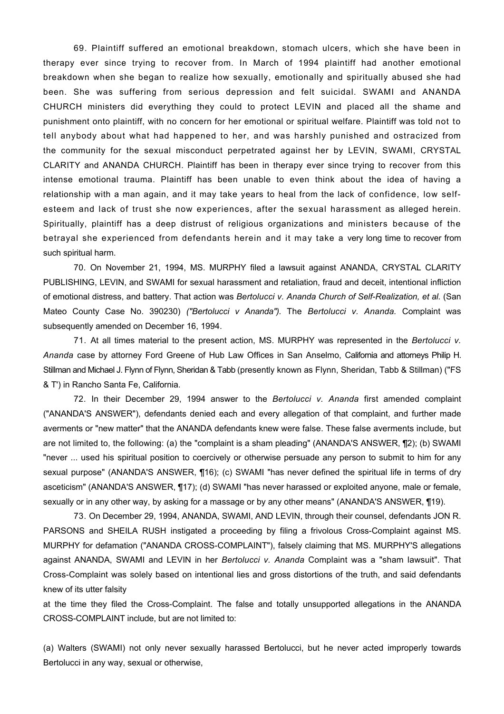69. Plaintiff suffered an emotional breakdown, stomach ulcers, which she have been in therapy ever since trying to recover from. In March of 1994 plaintiff had another emotional breakdown when she began to realize how sexually, emotionally and spiritually abused she had been. She was suffering from serious depression and felt suicidal. SWAMI and ANANDA CHURCH ministers did everything they could to protect LEVIN and placed all the shame and punishment onto plaintiff, with no concern for her emotional or spiritual welfare. Plaintiff was told not to tell anybody about what had happened to her, and was harshly punished and ostracized from the community for the sexual misconduct perpetrated against her by LEVIN, SWAMI, CRYSTAL CLARITY and ANANDA CHURCH. Plaintiff has been in therapy ever since trying to recover from this intense emotional trauma. Plaintiff has been unable to even think about the idea of having a relationship with a man again, and it may take years to heal from the lack of confidence, low selfesteem and lack of trust she now experiences, after the sexual harassment as alleged herein. Spiritually, plaintiff has a deep distrust of religious organizations and ministers because of the betrayal she experienced from defendants herein and it may take a very long time to recover from such spiritual harm.

70. On November 21, 1994, MS. MURPHY filed a lawsuit against ANANDA, CRYSTAL CLARITY PUBLISHING, LEVIN, and SWAMI for sexual harassment and retaliation, fraud and deceit, intentional infliction of emotional distress, and battery. That action was *Bertolucci v. Ananda Church of Self-Realization, et al.* (San Mateo County Case No. 390230) *("Bertolucci v Ananda").* The *Bertolucci v. Ananda.* Complaint was subsequently amended on December 16, 1994.

71. At all times material to the present action, MS. MURPHY was represented in the *Bertolucci v. Ananda* case by attorney Ford Greene of Hub Law Offices in San Anselmo, California and attorneys Philip H. Stillman and Michael J. Flynn of Flynn, Sheridan & Tabb (presently known as Flynn, Sheridan, Tabb & Stillman) ("FS & T') in Rancho Santa Fe, California.

72. In their December 29, 1994 answer to the *Bertolucci v. Ananda* first amended complaint ("ANANDA'S ANSWER"), defendants denied each and every allegation of that complaint, and further made averments or "new matter" that the ANANDA defendants knew were false. These false averments include, but are not limited to, the following: (a) the "complaint is a sham pleading" (ANANDA'S ANSWER, ¶2); (b) SWAMI "never ... used his spiritual position to coercively or otherwise persuade any person to submit to him for any sexual purpose" (ANANDA'S ANSWER, ¶16); (c) SWAMI "has never defined the spiritual life in terms of dry asceticism" (ANANDA'S ANSWER, ¶17); (d) SWAMI "has never harassed or exploited anyone, male or female, sexually or in any other way, by asking for a massage or by any other means" (ANANDA'S ANSWER, ¶19).

73. On December 29, 1994, ANANDA, SWAMI, AND LEVIN, through their counsel, defendants JON R. PARSONS and SHEILA RUSH instigated a proceeding by filing a frivolous Cross-Complaint against MS. MURPHY for defamation ("ANANDA CROSS-COMPLAINT"), falsely claiming that MS. MURPHY'S allegations against ANANDA, SWAMI and LEVIN in her *Bertolucci v. Ananda* Complaint was a "sham lawsuit". That Cross-Complaint was solely based on intentional lies and gross distortions of the truth, and said defendants knew of its utter falsity

at the time they filed the Cross-Complaint. The false and totally unsupported allegations in the ANANDA CROSS-COMPLAINT include, but are not limited to:

(a) Walters (SWAMI) not only never sexually harassed Bertolucci, but he never acted improperly towards Bertolucci in any way, sexual or otherwise,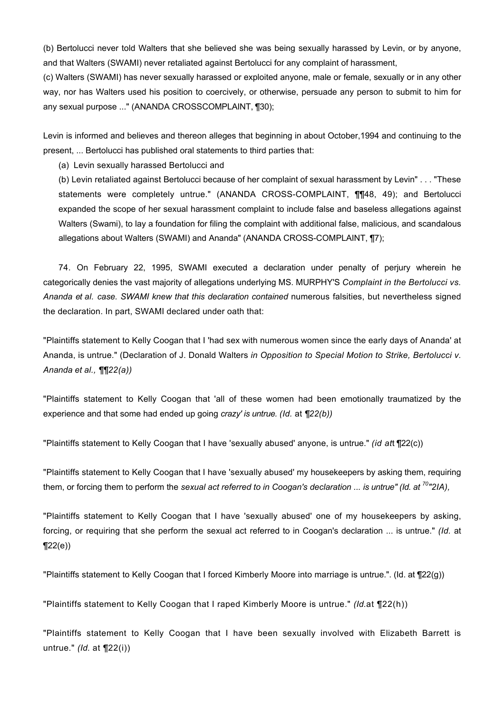(b) Bertolucci never told Walters that she believed she was being sexually harassed by Levin, or by anyone, and that Walters (SWAMI) never retaliated against Bertolucci for any complaint of harassment,

(c) Walters (SWAMI) has never sexually harassed or exploited anyone, male or female, sexually or in any other way, nor has Walters used his position to coercively, or otherwise, persuade any person to submit to him for any sexual purpose ..." (ANANDA CROSSCOMPLAINT, ¶30);

Levin is informed and believes and thereon alleges that beginning in about October,1994 and continuing to the present, ... Bertolucci has published oral statements to third parties that:

(a) Levin sexually harassed Bertolucci and

(b) Levin retaliated against Bertolucci because of her complaint of sexual harassment by Levin" . . . "These statements were completely untrue." (ANANDA CROSS-COMPLAINT, ¶¶48, 49); and Bertolucci expanded the scope of her sexual harassment complaint to include false and baseless allegations against Walters (Swami), to lay a foundation for filing the complaint with additional false, malicious, and scandalous allegations about Walters (SWAMI) and Ananda" (ANANDA CROSS-COMPLAINT, ¶7);

74. On February 22, 1995, SWAMI executed a declaration under penalty of perjury wherein he categorically denies the vast majority of allegations underlying MS. MURPHY'S *Complaint in the Bertolucci vs. Ananda et al. case. SWAMI knew that this declaration contained* numerous falsities, but nevertheless signed the declaration. In part, SWAMI declared under oath that:

"Plaintiffs statement to Kelly Coogan that I 'had sex with numerous women since the early days of Ananda' at Ananda, is untrue." (Declaration of J. Donald Walters *in Opposition to Special Motion to Strike, Bertolucci v. Ananda et al., ¶¶22(a))* 

"Plaintiffs statement to Kelly Coogan that 'all of these women had been emotionally traumatized by the experience and that some had ended up going *crazy' is untrue. (Id.* at *¶22(b))* 

"Plaintiffs statement to Kelly Coogan that I have 'sexually abused' anyone, is untrue." *(id at*t ¶22(c))

"Plaintiffs statement to Kelly Coogan that I have 'sexually abused' my housekeepers by asking them, requiring them, or forcing them to perform the *sexual act referred to in Coogan's declaration ... is untrue" (Id. at*<sup>70</sup>"2IA),

"Plaintiffs statement to Kelly Coogan that I have 'sexually abused' one of my housekeepers by asking, forcing, or requiring that she perform the sexual act referred to in Coogan's declaration ... is untrue." *(Id.* at  $\P(22(e))$ 

"Plaintiffs statement to Kelly Coogan that I forced Kimberly Moore into marriage is untrue.". (Id. at ¶22(g))

"Plaintiffs statement to Kelly Coogan that I raped Kimberly Moore is untrue." *(Id.*at ¶22(h))

"Plaintiffs statement to Kelly Coogan that I have been sexually involved with Elizabeth Barrett is untrue." *(Id.* at ¶22(i))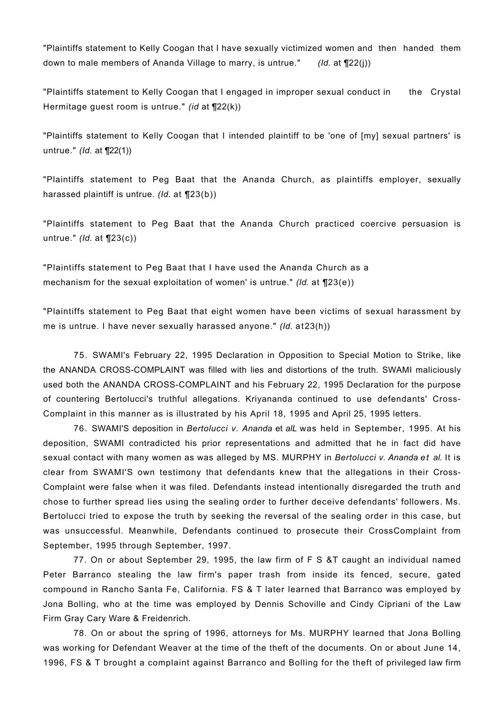"Plaintiffs statement to Kelly Coogan that I have sexually victimized women and then handed them down to male members of Ananda Village to marry, is untrue." *(Id.* at ¶22(j))

"Plaintiffs statement to Kelly Coogan that I engaged in improper sexual conduct in the Crystal Hermitage guest room is untrue." *(id* at ¶22(k))

"Plaintiffs statement to Kelly Coogan that I intended plaintiff to be 'one of [my] sexual partners' is untrue." *(Id.* at ¶22(1))

"Plaintiffs statement to Peg Baat that the Ananda Church, as plaintiffs employer, sexually harassed plaintiff is untrue. *(Id.* at ¶23(b))

"Plaintiffs statement to Peg Baat that the Ananda Church practiced coercive persuasion is untrue." *(Id.* at ¶23(c))

"Plaintiffs statement to Peg Baat that I have used the Ananda Church as a mechanism for the sexual exploitation of women' is untrue." *(Id.* at ¶23(e))

"Plaintiffs statement to Peg Baat that eight women have been victims of sexual harassment by me is untrue. I have never sexually harassed anyone." *(Id.* at23(h))

75. SWAMI's February 22, 1995 Declaration in Opposition to Special Motion to Strike, like the ANANDA CROSS-COMPLAINT was filled with lies and distortions of the truth. SWAMI maliciously used both the ANANDA CROSS-COMPLAINT and his February 22, 1995 Declaration for the purpose of countering Bertolucci's truthful allegations. Kriyananda continued to use defendants' Cross-Complaint in this manner as is illustrated by his April 18, 1995 and April 25, 1995 letters.

76. SWAMI'S deposition in *Bertolucci v. Ananda* et *alL* was held in September, 1995. At his deposition, SWAMI contradicted his prior representations and admitted that he in fact did have sexual contact with many women as was alleged by MS. MURPHY in *Bertolucci v. Ananda et al.* It is clear from SWAMI'S own testimony that defendants knew that the allegations in their Cross-Complaint were false when it was filed. Defendants instead intentionally disregarded the truth and chose to further spread lies using the sealing order to further deceive defendants' followers. Ms. Bertolucci tried to expose the truth by seeking the reversal of the sealing order in this case, but was unsuccessful. Meanwhile, Defendants continued to prosecute their CrossComplaint from September, 1995 through September, 1997.

77. On or about September 29, 1995, the law firm of F S &T caught an individual named Peter Barranco stealing the law firm's paper trash from inside its fenced, secure, gated compound in Rancho Santa Fe, California. FS & T later learned that Barranco was employed by Jona Bolling, who at the time was employed by Dennis Schoville and Cindy Cipriani of the Law Firm Gray Cary Ware & Freidenrich.

78. On or about the spring of 1996, attorneys for Ms. MURPHY learned that Jona Bolling was working for Defendant Weaver at the time of the theft of the documents. On or about June 14, 1996, FS & T brought a complaint against Barranco and Bolling for the theft of privileged law firm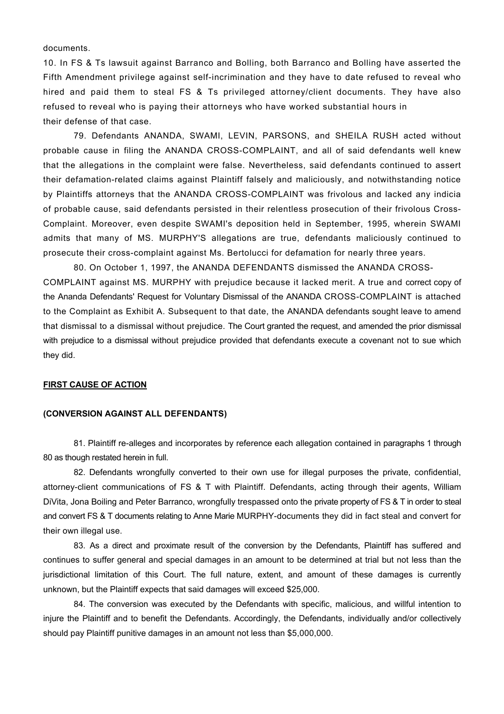documents.

10. In FS & Ts lawsuit against Barranco and Bolling, both Barranco and Bolling have asserted the Fifth Amendment privilege against self-incrimination and they have to date refused to reveal who hired and paid them to steal FS & Ts privileged attorney/client documents. They have also refused to reveal who is paying their attorneys who have worked substantial hours in their defense of that case.

79. Defendants ANANDA, SWAMI, LEVIN, PARSONS, and SHEILA RUSH acted without probable cause in filing the ANANDA CROSS-COMPLAINT, and all of said defendants well knew that the allegations in the complaint were false. Nevertheless, said defendants continued to assert their defamation-related claims against Plaintiff falsely and maliciously, and notwithstanding notice by Plaintiffs attorneys that the ANANDA CROSS-COMPLAINT was frivolous and lacked any indicia of probable cause, said defendants persisted in their relentless prosecution of their frivolous Cross-Complaint. Moreover, even despite SWAMI's deposition held in September, 1995, wherein SWAMI admits that many of MS. MURPHY'S allegations are true, defendants maliciously continued to prosecute their cross-complaint against Ms. Bertolucci for defamation for nearly three years.

80. On October 1, 1997, the ANANDA DEFENDANTS dismissed the ANANDA CROSS-COMPLAINT against MS. MURPHY with prejudice because it lacked merit. A true and correct copy of the Ananda Defendants' Request for Voluntary Dismissal of the ANANDA CROSS-COMPLAINT is attached to the Complaint as Exhibit A. Subsequent to that date, the ANANDA defendants sought leave to amend that dismissal to a dismissal without prejudice. The Court granted the request, and amended the prior dismissal with prejudice to a dismissal without prejudice provided that defendants execute a covenant not to sue which they did.

# **FIRST CAUSE OF ACTION**

## **(CONVERSION AGAINST ALL DEFENDANTS)**

81. Plaintiff re-alleges and incorporates by reference each allegation contained in paragraphs 1 through 80 as though restated herein in full.

82. Defendants wrongfully converted to their own use for illegal purposes the private, confidential, attorney-client communications of FS & T with Plaintiff. Defendants, acting through their agents, William DiVita, Jona Boiling and Peter Barranco, wrongfully trespassed onto the private property of FS & T in order to steal and convert FS & T documents relating to Anne Marie MURPHY-documents they did in fact steal and convert for their own illegal use.

83. As a direct and proximate result of the conversion by the Defendants, Plaintiff has suffered and continues to suffer general and special damages in an amount to be determined at trial but not less than the jurisdictional limitation of this Court. The full nature, extent, and amount of these damages is currently unknown, but the Plaintiff expects that said damages will exceed \$25,000.

84. The conversion was executed by the Defendants with specific, malicious, and willful intention to injure the Plaintiff and to benefit the Defendants. Accordingly, the Defendants, individually and/or collectively should pay Plaintiff punitive damages in an amount not less than \$5,000,000.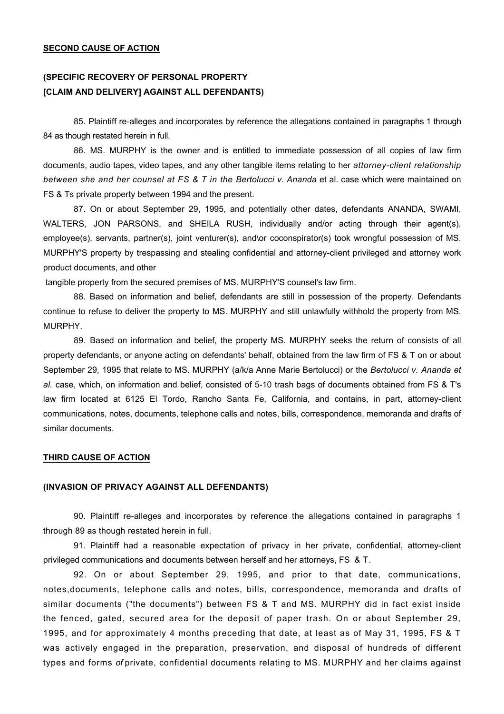#### **SECOND CAUSE OF ACTION**

# **(SPECIFIC RECOVERY OF PERSONAL PROPERTY [CLAIM AND DELIVERY] AGAINST ALL DEFENDANTS)**

85. Plaintiff re-alleges and incorporates by reference the allegations contained in paragraphs 1 through 84 as though restated herein in full.

86. MS. MURPHY is the owner and is entitled to immediate possession of all copies of law firm documents, audio tapes, video tapes, and any other tangible items relating to her *attorney-client relationship between she and her counsel at FS & T in the Bertolucci v. Ananda* et al. case which were maintained on FS & Ts private property between 1994 and the present.

87. On or about September 29, 1995, and potentially other dates, defendants ANANDA, SWAMI, WALTERS, JON PARSONS, and SHEILA RUSH, individually and/or acting through their agent(s), employee(s), servants, partner(s), joint venturer(s), and\or coconspirator(s) took wrongful possession of MS. MURPHY'S property by trespassing and stealing confidential and attorney-client privileged and attorney work product documents, and other

tangible property from the secured premises of MS. MURPHY'S counsel's law firm.

88. Based on information and belief, defendants are still in possession of the property. Defendants continue to refuse to deliver the property to MS. MURPHY and still unlawfully withhold the property from MS. MURPHY.

89. Based on information and belief, the property MS. MURPHY seeks the return of consists of all property defendants, or anyone acting on defendants' behalf, obtained from the law firm of FS & T on or about September 29, 1995 that relate to MS. MURPHY (a/k/a Anne Marie Bertolucci) or the *Bertolucci v. Ananda et al.* case, which, on information and belief, consisted of 5-10 trash bags of documents obtained from FS & T's law firm located at 6125 El Tordo, Rancho Santa Fe, California, and contains, in part, attorney-client communications, notes, documents, telephone calls and notes, bills, correspondence, memoranda and drafts of similar documents.

#### **THIRD CAUSE OF ACTION**

## **(INVASION OF PRIVACY AGAINST ALL DEFENDANTS)**

90. Plaintiff re-alleges and incorporates by reference the allegations contained in paragraphs 1 through 89 as though restated herein in full.

91. Plaintiff had a reasonable expectation of privacy in her private, confidential, attorney-client privileged communications and documents between herself and her attorneys, FS & T.

92. On or about September 29, 1995, and prior to that date, communications, notes,documents, telephone calls and notes, bills, correspondence, memoranda and drafts of similar documents ("the documents") between FS & T and MS. MURPHY did in fact exist inside the fenced, gated, secured area for the deposit of paper trash. On or about September 29, 1995, and for approximately 4 months preceding that date, at least as of May 31, 1995, FS & T was actively engaged in the preparation, preservation, and disposal of hundreds of different types and forms *of* private, confidential documents relating to MS. MURPHY and her claims against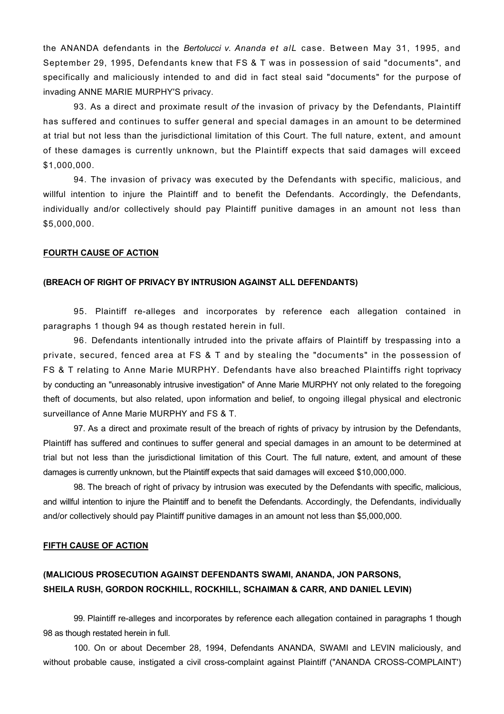the ANANDA defendants in the *Bertolucci v. Ananda et alL* case. Between May 31, 1995, and September 29, 1995, Defendants knew that FS & T was in possession of said "documents", and specifically and maliciously intended to and did in fact steal said "documents" for the purpose of invading ANNE MARIE MURPHY'S privacy.

93. As a direct and proximate result *of* the invasion of privacy by the Defendants, Plaintiff has suffered and continues to suffer general and special damages in an amount to be determined at trial but not less than the jurisdictional limitation of this Court. The full nature, extent, and amount of these damages is currently unknown, but the Plaintiff expects that said damages will exceed \$1,000,000.

94. The invasion of privacy was executed by the Defendants with specific, malicious, and willful intention to injure the Plaintiff and to benefit the Defendants. Accordingly, the Defendants, individually and/or collectively should pay Plaintiff punitive damages in an amount not less than \$5,000,000.

#### **FOURTH CAUSE OF ACTION**

### **(BREACH OF RIGHT OF PRIVACY BY INTRUSION AGAINST ALL DEFENDANTS)**

95. Plaintiff re-alleges and incorporates by reference each allegation contained in paragraphs 1 though 94 as though restated herein in full.

96. Defendants intentionally intruded into the private affairs of Plaintiff by trespassing into a private, secured, fenced area at FS & T and by stealing the "documents" in the possession of FS & T relating to Anne Marie MURPHY. Defendants have also breached Plaintiffs right toprivacy by conducting an "unreasonably intrusive investigation" of Anne Marie MURPHY not only related to the foregoing theft of documents, but also related, upon information and belief, to ongoing illegal physical and electronic surveillance of Anne Marie MURPHY and FS & T.

97. As a direct and proximate result of the breach of rights of privacy by intrusion by the Defendants, Plaintiff has suffered and continues to suffer general and special damages in an amount to be determined at trial but not less than the jurisdictional limitation of this Court. The full nature, extent, and amount of these damages is currently unknown, but the Plaintiff expects that said damages will exceed \$10,000,000.

98. The breach of right of privacy by intrusion was executed by the Defendants with specific, malicious, and willful intention to injure the Plaintiff and to benefit the Defendants. Accordingly, the Defendants, individually and/or collectively should pay Plaintiff punitive damages in an amount not less than \$5,000,000.

## **FIFTH CAUSE OF ACTION**

# **(MALICIOUS PROSECUTION AGAINST DEFENDANTS SWAMI, ANANDA, JON PARSONS, SHEILA RUSH, GORDON ROCKHILL, ROCKHILL, SCHAIMAN & CARR, AND DANIEL LEVIN)**

99. Plaintiff re-alleges and incorporates by reference each allegation contained in paragraphs 1 though 98 as though restated herein in full.

100. On or about December 28, 1994, Defendants ANANDA, SWAMI and LEVIN maliciously, and without probable cause, instigated a civil cross-complaint against Plaintiff ("ANANDA CROSS-COMPLAINT')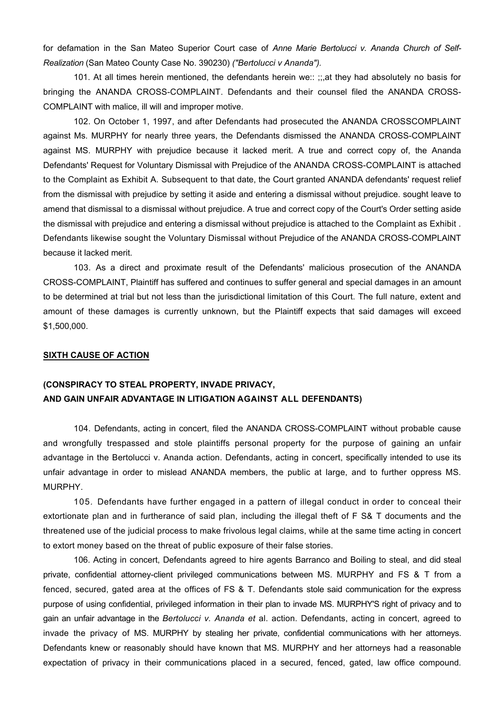for defamation in the San Mateo Superior Court case of *Anne Marie Bertolucci v. Ananda Church of Self-Realization* (San Mateo County Case No. 390230) *("Bertolucci v Ananda").* 

101. At all times herein mentioned, the defendants herein we:: ;;,at they had absolutely no basis for bringing the ANANDA CROSS-COMPLAINT. Defendants and their counsel filed the ANANDA CROSS-COMPLAINT with malice, ill will and improper motive.

102. On October 1, 1997, and after Defendants had prosecuted the ANANDA CROSSCOMPLAINT against Ms. MURPHY for nearly three years, the Defendants dismissed the ANANDA CROSS-COMPLAINT against MS. MURPHY with prejudice because it lacked merit. A true and correct copy of, the Ananda Defendants' Request for Voluntary Dismissal with Prejudice of the ANANDA CROSS-COMPLAINT is attached to the Complaint as Exhibit A. Subsequent to that date, the Court granted ANANDA defendants' request relief from the dismissal with prejudice by setting it aside and entering a dismissal without prejudice. sought leave to amend that dismissal to a dismissal without prejudice. A true and correct copy of the Court's Order setting aside the dismissal with prejudice and entering a dismissal without prejudice is attached to the Complaint as Exhibit . Defendants likewise sought the Voluntary Dismissal without Prejudice of the ANANDA CROSS-COMPLAINT because it lacked merit.

 103. As a direct and proximate result of the Defendants' malicious prosecution of the ANANDA CROSS-COMPLAINT, Plaintiff has suffered and continues to suffer general and special damages in an amount to be determined at trial but not less than the jurisdictional limitation of this Court. The full nature, extent and amount of these damages is currently unknown, but the Plaintiff expects that said damages will exceed \$1,500,000.

### **SIXTH CAUSE OF ACTION**

# **(CONSPIRACY TO STEAL PROPERTY, INVADE PRIVACY, AND GAIN UNFAIR ADVANTAGE IN LITIGATION AGAINST ALL DEFENDANTS)**

104. Defendants, acting in concert, filed the ANANDA CROSS-COMPLAINT without probable cause and wrongfully trespassed and stole plaintiffs personal property for the purpose of gaining an unfair advantage in the Bertolucci v. Ananda action. Defendants, acting in concert, specifically intended to use its unfair advantage in order to mislead ANANDA members, the public at large, and to further oppress MS. MURPHY.

105*.* Defendants have further engaged in a pattern of illegal conduct in order to conceal their extortionate plan and in furtherance of said plan, including the illegal theft of F S& T documents and the threatened use of the judicial process to make frivolous legal claims, while at the same time acting in concert to extort money based on the threat of public exposure of their false stories.

106. Acting in concert, Defendants agreed to hire agents Barranco and Boiling to steal, and did steal private, confidential attorney-client privileged communications between MS. MURPHY and FS & T from a fenced, secured, gated area at the offices of FS & T. Defendants stole said communication for the express purpose of using confidential, privileged information in their plan to invade MS. MURPHY'S right of privacy and to gain an unfair advantage in the *Bertolucci v. Ananda et* al. action. Defendants, acting in concert, agreed to invade the privacy of MS. MURPHY by stealing her private, confidential communications with her attorneys. Defendants knew or reasonably should have known that MS. MURPHY and her attorneys had a reasonable expectation of privacy in their communications placed in a secured, fenced, gated, law office compound.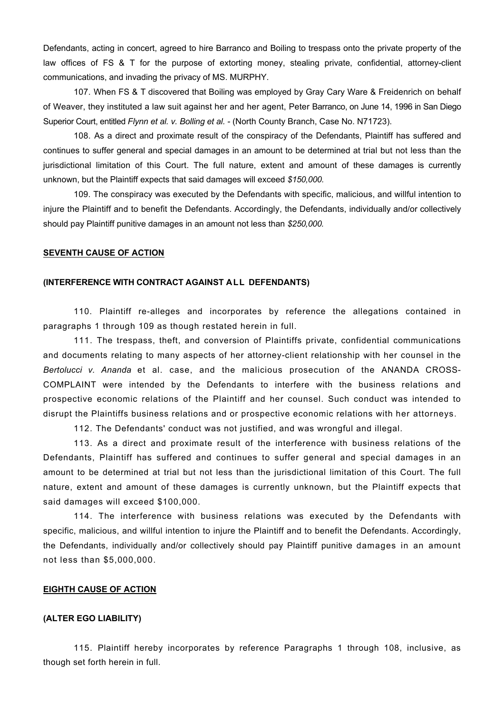Defendants, acting in concert, agreed to hire Barranco and Boiling to trespass onto the private property of the law offices of FS & T for the purpose of extorting money, stealing private, confidential, attorney-client communications, and invading the privacy of MS. MURPHY.

107. When FS & T discovered that Boiling was employed by Gray Cary Ware & Freidenrich on behalf of Weaver, they instituted a law suit against her and her agent, Peter Barranco, on June 14, 1996 in San Diego Superior Court, entitled *Flynn et al. v. Bolling et al. -* (North County Branch, Case No. N71723).

108. As a direct and proximate result of the conspiracy of the Defendants, Plaintiff has suffered and continues to suffer general and special damages in an amount to be determined at trial but not less than the jurisdictional limitation of this Court. The full nature, extent and amount of these damages is currently unknown, but the Plaintiff expects that said damages will exceed *\$150,000.* 

109. The conspiracy was executed by the Defendants with specific, malicious, and willful intention to injure the Plaintiff and to benefit the Defendants. Accordingly, the Defendants, individually and/or collectively should pay Plaintiff punitive damages in an amount not less than *\$250,000.* 

### **SEVENTH CAUSE OF ACTION**

## **(INTERFERENCE WITH CONTRACT AGAINST ALL DEFENDANTS)**

110. Plaintiff re-alleges and incorporates by reference the allegations contained in paragraphs 1 through 109 as though restated herein in full.

111. The trespass, theft, and conversion of Plaintiffs private, confidential communications and documents relating to many aspects of her attorney-client relationship with her counsel in the *Bertolucci v. Ananda* et al. case, and the malicious prosecution of the ANANDA CROSS-COMPLAINT were intended by the Defendants to interfere with the business relations and prospective economic relations of the Plaintiff and her counsel. Such conduct was intended to disrupt the Plaintiffs business relations and or prospective economic relations with her attorneys.

112. The Defendants' conduct was not justified, and was wrongful and illegal.

113. As a direct and proximate result of the interference with business relations of the Defendants, Plaintiff has suffered and continues to suffer general and special damages in an amount to be determined at trial but not less than the jurisdictional limitation of this Court. The full nature, extent and amount of these damages is currently unknown, but the Plaintiff expects that said damages will exceed \$100,000.

114. The interference with business relations was executed by the Defendants with specific, malicious, and willful intention to injure the Plaintiff and to benefit the Defendants. Accordingly, the Defendants, individually and/or collectively should pay Plaintiff punitive damages in an amount not less than \$5,000,000.

#### **EIGHTH CAUSE OF ACTION**

## **(ALTER EGO LIABILITY)**

115. Plaintiff hereby incorporates by reference Paragraphs 1 through 108, inclusive, as though set forth herein in full.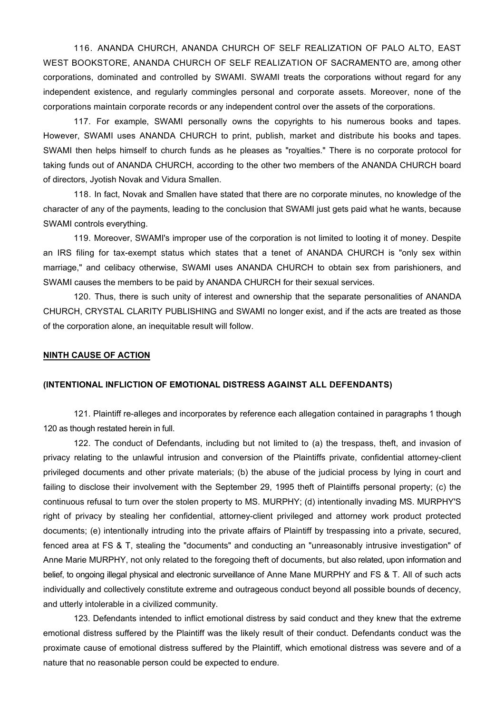116. ANANDA CHURCH, ANANDA CHURCH OF SELF REALIZATION OF PALO ALTO, EAST WEST BOOKSTORE, ANANDA CHURCH OF SELF REALIZATION OF SACRAMENTO are, among other corporations, dominated and controlled by SWAMI. SWAMI treats the corporations without regard for any independent existence, and regularly commingles personal and corporate assets. Moreover, none of the corporations maintain corporate records or any independent control over the assets of the corporations.

117. For example, SWAMI personally owns the copyrights to his numerous books and tapes. However, SWAMI uses ANANDA CHURCH to print, publish, market and distribute his books and tapes. SWAMI then helps himself to church funds as he pleases as "royalties." There is no corporate protocol for taking funds out of ANANDA CHURCH, according to the other two members of the ANANDA CHURCH board of directors, Jyotish Novak and Vidura Smallen.

118. In fact, Novak and Smallen have stated that there are no corporate minutes, no knowledge of the character of any of the payments, leading to the conclusion that SWAMI just gets paid what he wants, because SWAMI controls everything.

119. Moreover, SWAMI's improper use of the corporation is not limited to looting it of money. Despite an IRS filing for tax-exempt status which states that a tenet of ANANDA CHURCH is "only sex within marriage," and celibacy otherwise, SWAMI uses ANANDA CHURCH to obtain sex from parishioners, and SWAMI causes the members to be paid by ANANDA CHURCH for their sexual services.

120. Thus, there is such unity of interest and ownership that the separate personalities of ANANDA CHURCH, CRYSTAL CLARITY PUBLISHING and SWAMI no longer exist, and if the acts are treated as those of the corporation alone, an inequitable result will follow.

### **NINTH CAUSE OF ACTION**

### **(INTENTIONAL INFLICTION OF EMOTIONAL DISTRESS AGAINST ALL DEFENDANTS)**

121. Plaintiff re-alleges and incorporates by reference each allegation contained in paragraphs 1 though 120 as though restated herein in full.

122. The conduct of Defendants, including but not limited to (a) the trespass, theft, and invasion of privacy relating to the unlawful intrusion and conversion of the Plaintiffs private, confidential attorney-client privileged documents and other private materials; (b) the abuse of the judicial process by lying in court and failing to disclose their involvement with the September 29, 1995 theft of Plaintiffs personal property; (c) the continuous refusal to turn over the stolen property to MS. MURPHY; (d) intentionally invading MS. MURPHY'S right of privacy by stealing her confidential, attorney-client privileged and attorney work product protected documents; (e) intentionally intruding into the private affairs of Plaintiff by trespassing into a private, secured, fenced area at FS & T, stealing the "documents" and conducting an "unreasonably intrusive investigation" of Anne Marie MURPHY, not only related to the foregoing theft of documents, but also related, upon information and belief, to ongoing illegal physical and electronic surveillance of Anne Mane MURPHY and FS & T. All of such acts individually and collectively constitute extreme and outrageous conduct beyond all possible bounds of decency, and utterly intolerable in a civilized community.

123. Defendants intended to inflict emotional distress by said conduct and they knew that the extreme emotional distress suffered by the Plaintiff was the likely result of their conduct. Defendants conduct was the proximate cause of emotional distress suffered by the Plaintiff, which emotional distress was severe and of a nature that no reasonable person could be expected to endure.